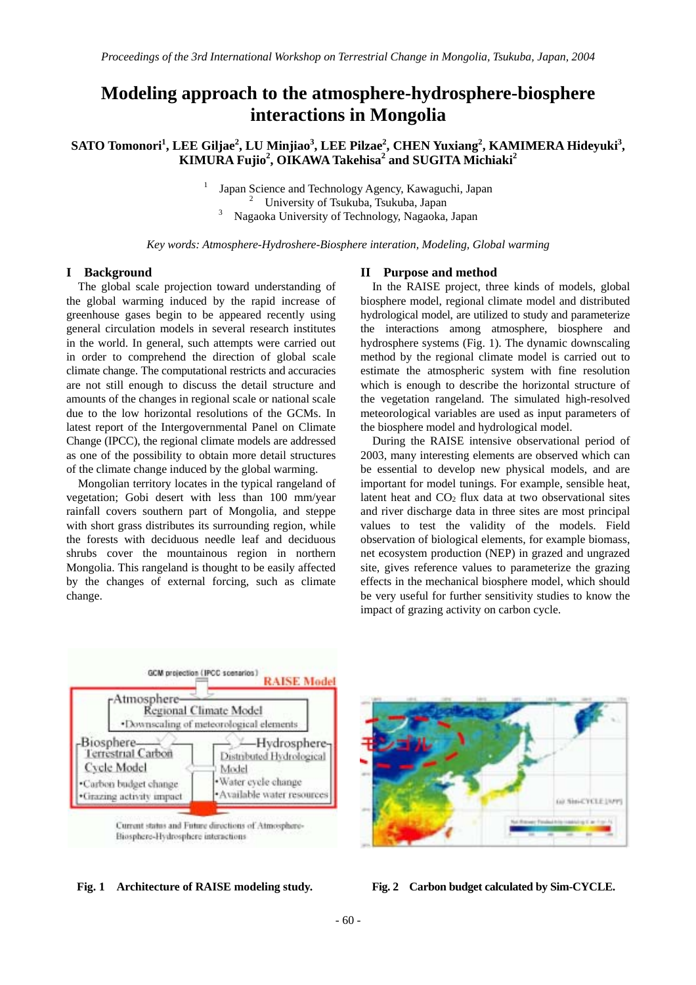# **Modeling approach to the atmosphere-hydrosphere-biosphere interactions in Mongolia**

# $\mathbf{SATO}\text{ Tomonori}^1$ ,  $\mathbf{LEE}\text{ }Giljae^2$ ,  $\mathbf{LU}\text{ }Minjiao^3$ ,  $\mathbf{LEE}\text{ }Pilzae^2$ ,  $\mathbf{CHEN}\text{ }\mathbf{Yuxiang}^2$ ,  $\mathbf{KAMIMERA}\text{ }Hideyuki}^3$ , **KIMURA Fujio<sup>2</sup> , OIKAWA Takehisa<sup>2</sup> and SUGITA Michiaki<sup>2</sup>**

 Japan Science and Technology Agency, Kawaguchi, Japan 2 <sup>2</sup> University of Tsukuba, Tsukuba, Japan Nagaoka University of Technology, Nagaoka, Japan

*Key words: Atmosphere-Hydroshere-Biosphere interation, Modeling, Global warming* 

#### **I Background**

The global scale projection toward understanding of the global warming induced by the rapid increase of greenhouse gases begin to be appeared recently using general circulation models in several research institutes in the world. In general, such attempts were carried out in order to comprehend the direction of global scale climate change. The computational restricts and accuracies are not still enough to discuss the detail structure and amounts of the changes in regional scale or national scale due to the low horizontal resolutions of the GCMs. In latest report of the Intergovernmental Panel on Climate Change (IPCC), the regional climate models are addressed as one of the possibility to obtain more detail structures of the climate change induced by the global warming.

1

Mongolian territory locates in the typical rangeland of vegetation; Gobi desert with less than 100 mm/year rainfall covers southern part of Mongolia, and steppe with short grass distributes its surrounding region, while the forests with deciduous needle leaf and deciduous shrubs cover the mountainous region in northern Mongolia. This rangeland is thought to be easily affected by the changes of external forcing, such as climate change.

#### **II Purpose and method**

 In the RAISE project, three kinds of models, global biosphere model, regional climate model and distributed hydrological model, are utilized to study and parameterize the interactions among atmosphere, biosphere and hydrosphere systems (Fig. 1). The dynamic downscaling method by the regional climate model is carried out to estimate the atmospheric system with fine resolution which is enough to describe the horizontal structure of the vegetation rangeland. The simulated high-resolved meteorological variables are used as input parameters of the biosphere model and hydrological model.

 During the RAISE intensive observational period of 2003, many interesting elements are observed which can be essential to develop new physical models, and are important for model tunings. For example, sensible heat, latent heat and CO2 flux data at two observational sites and river discharge data in three sites are most principal values to test the validity of the models. Field observation of biological elements, for example biomass, net ecosystem production (NEP) in grazed and ungrazed site, gives reference values to parameterize the grazing effects in the mechanical biosphere model, which should be very useful for further sensitivity studies to know the impact of grazing activity on carbon cycle.





**Fig. 1 Architecture of RAISE modeling study. Fig. 2 Carbon budget calculated by Sim-CYCLE.**